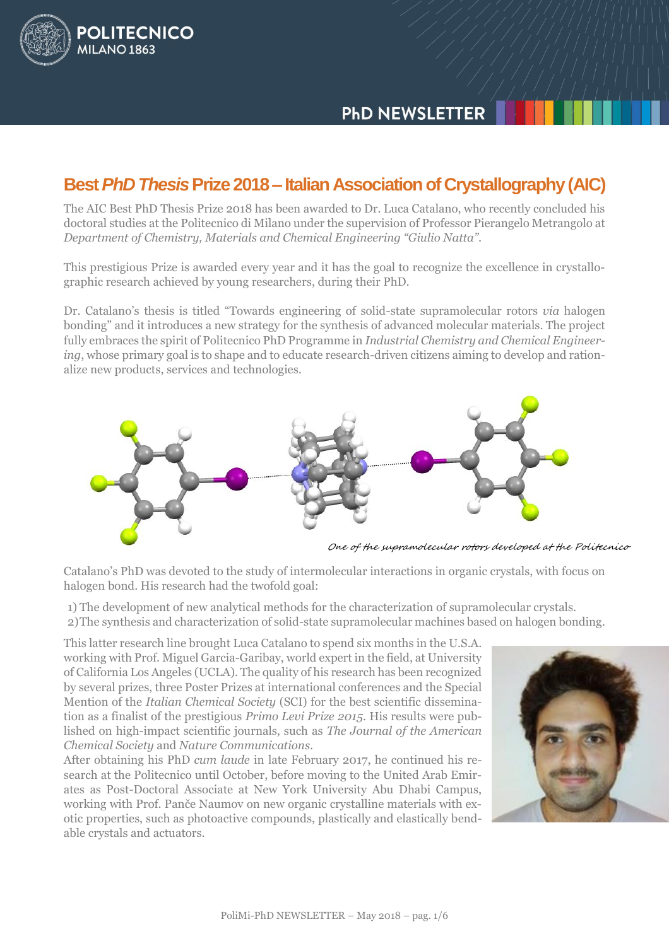# **PHD NEWSLETTER**

# **Best** *PhD Thesis***Prize 2018 – Italian Association of Crystallography (AIC)**

POLITECNICO

MILANO<sub>1863</sub>

The AIC Best PhD Thesis Prize 2018 has been awarded to Dr. Luca Catalano, who recently concluded his doctoral studies at the Politecnico di Milano under the supervision of Professor Pierangelo Metrangolo at *Department of Chemistry, Materials and Chemical Engineering "Giulio Natta"*.

This prestigious Prize is awarded every year and it has the goal to recognize the excellence in crystallographic research achieved by young researchers, during their PhD.

Dr. Catalano's thesis is titled "Towards engineering of solid-state supramolecular rotors *via* halogen bonding" and it introduces a new strategy for the synthesis of advanced molecular materials. The project fully embraces the spirit of Politecnico PhD Programme in *Industrial Chemistry and Chemical Engineering*, whose primary goal is to shape and to educate research-driven citizens aiming to develop and rationalize new products, services and technologies.



One of the supramolecular rotors developed at the Politecnico

Catalano's PhD was devoted to the study of intermolecular interactions in organic crystals, with focus on halogen bond. His research had the twofold goal:

1) The development of new analytical methods for the characterization of supramolecular crystals. 2)The synthesis and characterization of solid-state supramolecular machines based on halogen bonding.

This latter research line brought Luca Catalano to spend six months in the U.S.A. working with Prof. Miguel Garcia-Garibay, world expert in the field, at University of California Los Angeles (UCLA). The quality of his research has been recognized by several prizes, three Poster Prizes at international conferences and the Special Mention of the *Italian Chemical Society* (SCI) for the best scientific dissemination as a finalist of the prestigious *Primo Levi Prize 2015*. His results were published on high-impact scientific journals, such as *The Journal of the American Chemical Society* and *Nature Communications*.

After obtaining his PhD *cum laude* in late February 2017, he continued his research at the Politecnico until October, before moving to the United Arab Emirates as Post-Doctoral Associate at New York University Abu Dhabi Campus, working with Prof. Panče Naumov on new organic crystalline materials with exotic properties, such as photoactive compounds, plastically and elastically bendable crystals and actuators.

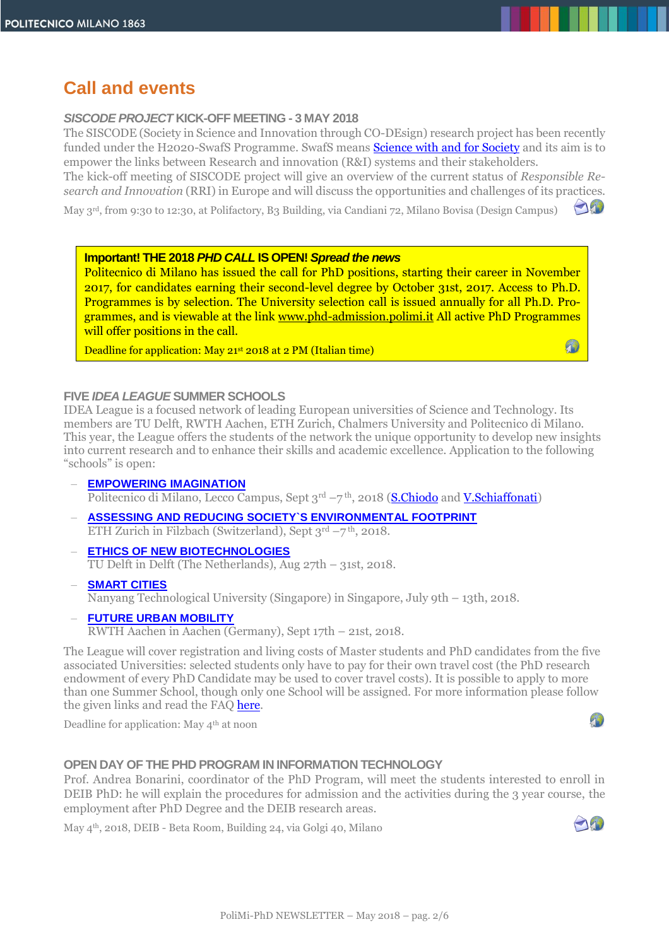# **Call and events**

#### *SISCODE PROJECT* **KICK-OFF MEETING - 3 MAY 2018**

The SISCODE (Society in Science and Innovation through CO-DEsign) research project has been recently funded under the H2020-SwafS Programme. SwafS means **Science with and for Society** and its aim is to empower the links between Research and innovation (R&I) systems and their stakeholders.

The kick-off meeting of SISCODE project will give an overview of the current status of *Responsible Research and Innovation* (RRI) in Europe and will discuss the opportunities and challenges of its practices.

May 3rd, from 9:30 to 12:30, at Polifactory, B3 Building, via Candiani 72, Milano Bovisa (Design Campus)

#### **Important! THE 2018** *PHD CALL* **IS OPEN!** *Spread the news*

Politecnico di Milano has issued the call for PhD positions, starting their career in November 2017, for candidates earning their second-level degree by October 31st, 2017. Access to Ph.D. Programmes is by selection. The University selection call is issued annually for all Ph.D. Programmes, and is viewable at the link [www.phd-admission.polimi.it](http://www.phd-admission.polimi.it/) All active PhD Programmes will offer positions in the call.

Deadline for application: May 21st 2018 at 2 PM (Italian time)

#### **FIVE** *IDEA LEAGUE* **SUMMER SCHOOLS**

IDEA League is a focused network of leading European universities of Science and Technology. Its members are TU Delft, RWTH Aachen, ETH Zurich, Chalmers University and Politecnico di Milano. This year, the League offers the students of the network the unique opportunity to develop new insights into current research and to enhance their skills and academic excellence. Application to the following "schools" is open:

- **[EMPOWERING IMAGINATION](https://sirop.org/app/e1170a9c-f209-4dbc-b679-7d250575ef50)** Politecnico di Milano, Lecco Campus, Sept 3<sup>rd</sup> —7<sup>th</sup>, 2018 (<mark>S.Chiodo</mark> and <mark>V.Schiaffonati</mark>)
- **[ASSESSING AND REDUCING SOCIETY`S ENVIRONMENTAL FOOTPRINT](https://sirop.org/app/7e14840d-81d0-4cf8-afb7-bc940794d3ab)** ETH Zurich in Filzbach (Switzerland), Sept 3rd –7 th, 2018.
- **[ETHICS OF NEW BIOTECHNOLOGIES](https://sirop.org/app/1b338959-79b9-42fb-afdb-9d079acb8f09)** TU Delft in Delft (The Netherlands), Aug 27th – 31st, 2018.
- **[SMART CITIES](https://sirop.org/app/6f83bb0c-bda7-437a-bc10-e80afaf89475)** Nanyang Technological University (Singapore) in Singapore, July 9th – 13th, 2018.
- **[FUTURE URBAN MOBILITY](https://sirop.org/app/5bc5b9ed-5c13-42e6-a3ad-b1b04725ba6d)** RWTH Aachen in Aachen (Germany), Sept 17th – 21st, 2018.

The League will cover registration and living costs of Master students and PhD candidates from the five associated Universities: selected students only have to pay for their own travel cost (the PhD research endowment of every PhD Candidate may be used to cover travel costs). It is possible to apply to more than one Summer School, though only one School will be assigned. For more information please follow the given links and read the FAQ here.

Deadline for application: May 4<sup>th</sup> at noon

# $T_{\rm b}$

 $\bigcap_{i=1}^n$ 

A)

#### **OPEN DAY OF THE PHD PROGRAM IN INFORMATION TECHNOLOGY**

Prof. Andrea Bonarini, coordinator of the PhD Program, will meet the students interested to enroll in DEIB PhD: he will explain the procedures for admission and the activities during the 3 year course, the employment after PhD Degree and the DEIB research areas.

May 4th, 2018, DEIB - Beta Room, Building 24, via Golgi 40, Milano

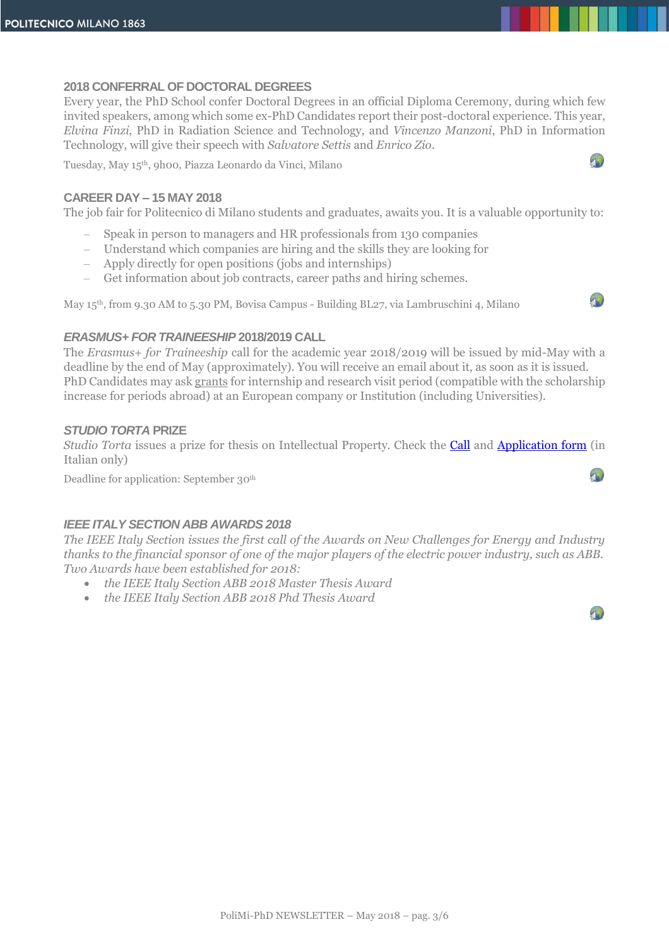# **2018 CONFERRAL OF DOCTORAL DEGREES**

Every year, the PhD School confer Doctoral Degrees in an official Diploma Ceremony, during which few invited speakers, among which some ex-PhD Candidates report their post-doctoral experience. This year, *Elvina Finzi*, PhD in Radiation Science and Technology, and *Vincenzo Manzoni*, PhD in Information Technology, will give their speech with *Salvatore Settis* and *Enrico Zio*.

Tuesday, May 15th, 9h00, Piazza Leonardo da Vinci, Milano

# **CAREER DAY – 15 MAY 2018**

The job fair for Politecnico di Milano students and graduates, awaits you. It is a valuable opportunity to:

- Speak in person to managers and HR professionals from 130 companies
- Understand which companies are hiring and the skills they are looking for
- Apply directly for open positions (jobs and internships)
- Get information about job contracts, career paths and hiring schemes.

May 15th, from 9.30 AM to 5.30 PM, Bovisa Campus - Building BL27, via Lambruschini 4, Milano



 $\mathcal{D}$ 

 $\mathcal{L}$ 

 $\mathcal{L}$ 

# *ERASMUS+ FOR TRAINEESHIP* **2018/2019 CALL**

The *Erasmus+ for Traineeship* call for the academic year 2018/2019 will be issued by mid-May with a deadline by the end of May (approximately). You will receive an email about it, as soon as it is issued. PhD Candidates may ask grants for internship and research visit period (compatible with the scholarship increase for periods abroad) at an European company or Institution (including Universities).

# *STUDIO TORTA* **PRIZE**

*Studio Torta* issues a prize for thesis on Intellectual Property. Check the **Call** and **Application form** (in Italian only)

Deadline for application: September 30th

# *IEEE ITALY SECTION ABB AWARDS 2018*

*The IEEE Italy Section issues the first call of the Awards on New Challenges for Energy and Industry thanks to the financial sponsor of one of the major players of the electric power industry, such as ABB. Two Awards have been established for 2018:*

- *the IEEE Italy Section ABB 2018 Master Thesis Award*
- *the IEEE Italy Section ABB 2018 Phd Thesis Award*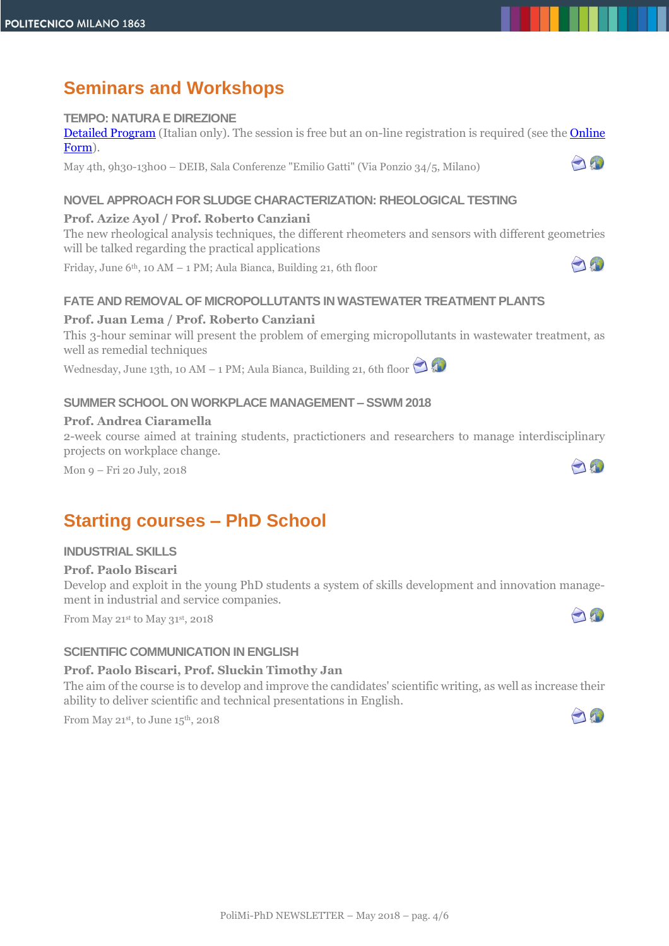# **Seminars and Workshops**

# **TEMPO: NATURA E DIREZIONE**

[Detailed Program](https://www.deib.polimi.it/eng/events/dettagli/1499) (Italian only). The session is free but an on-line registration is required (see the [Online](https://goo.gl/forms/Ni9ymmKbDuFtk4Jr1)  [Form\)](https://goo.gl/forms/Ni9ymmKbDuFtk4Jr1).

May 4th, 9h30-13h00 – DEIB, Sala Conferenze "Emilio Gatti" (Via Ponzio 34/5, Milano)

# **NOVEL APPROACH FOR SLUDGE CHARACTERIZATION: RHEOLOGICAL TESTING**

# **Prof. Azize Ayol / Prof. Roberto Canziani**

The new rheological analysis techniques, the different rheometers and sensors with different geometries will be talked regarding the practical applications

Friday, June  $6<sup>th</sup>$ , 10 AM – 1 PM; Aula Bianca, Building 21, 6th floor

### **FATE AND REMOVAL OF MICROPOLLUTANTS IN WASTEWATER TREATMENT PLANTS**

# **Prof. Juan Lema / Prof. Roberto Canziani**

This 3-hour seminar will present the problem of emerging micropollutants in wastewater treatment, as well as remedial techniques

Wednesday,June 13th, 10 AM – 1 PM; Aula Bianca, Building 21, 6th floor

# **SUMMER SCHOOL ON WORKPLACE MANAGEMENT – SSWM 2018**

#### **Prof. Andrea Ciaramella**

2-week course aimed at training students, practictioners and researchers to manage interdisciplinary projects on workplace change.

Mon 9 – Fri 20 July, 2018

# **Starting courses – PhD School**

#### **INDUSTRIAL SKILLS**

#### **Prof. Paolo Biscari**

Develop and exploit in the young PhD students a system of skills development and innovation management in industrial and service companies.

From May 21st to May 31st, 2018

# **SCIENTIFIC COMMUNICATION IN ENGLISH**

#### **Prof. Paolo Biscari, Prof. Sluckin Timothy Jan**

The aim of the course is to develop and improve the candidates' scientific writing, as well as increase their ability to deliver scientific and technical presentations in English.

From May 21st, to June 15<sup>th</sup>, 2018



O



A



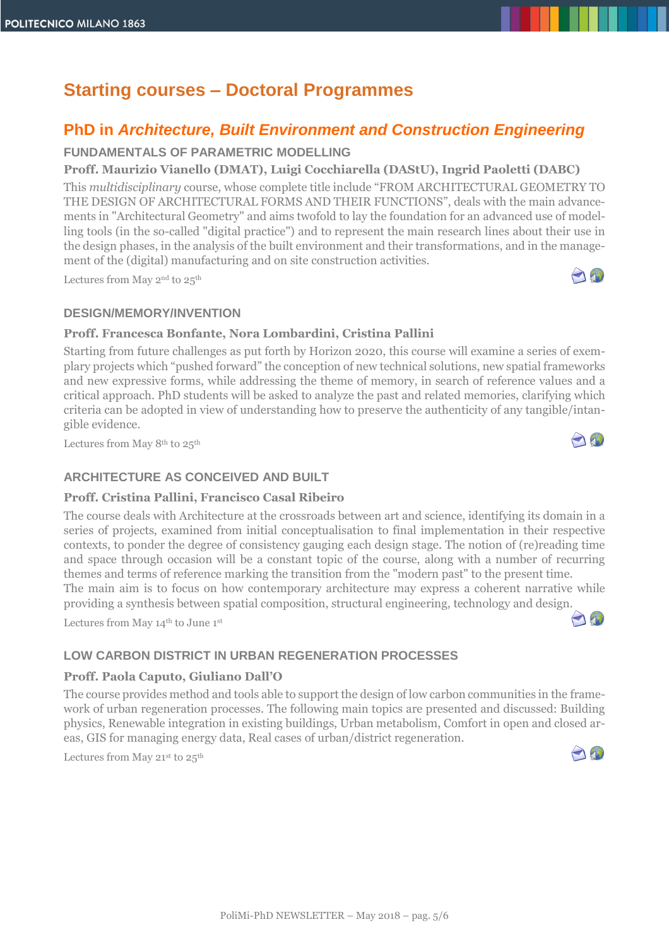# **Starting courses – Doctoral Programmes**

# **PhD in** *Architecture, Built Environment and Construction Engineering*

# **FUNDAMENTALS OF PARAMETRIC MODELLING**

# **Proff. Maurizio Vianello (DMAT), Luigi Cocchiarella (DAStU), Ingrid Paoletti (DABC)**

This *multidisciplinary* course, whose complete title include "FROM ARCHITECTURAL GEOMETRY TO THE DESIGN OF ARCHITECTURAL FORMS AND THEIR FUNCTIONS", deals with the main advancements in "Architectural Geometry" and aims twofold to lay the foundation for an advanced use of modelling tools (in the so-called "digital practice") and to represent the main research lines about their use in the design phases, in the analysis of the built environment and their transformations, and in the management of the (digital) manufacturing and on site construction activities.

Lectures from May  $2<sup>nd</sup>$  to  $25<sup>th</sup>$ 

# **DESIGN/MEMORY/INVENTION**

# **Proff. Francesca Bonfante, Nora Lombardini, Cristina Pallini**

Starting from future challenges as put forth by Horizon 2020, this course will examine a series of exemplary projects which "pushed forward" the conception of new technical solutions, new spatial frameworks and new expressive forms, while addressing the theme of memory, in search of reference values and a critical approach. PhD students will be asked to analyze the past and related memories, clarifying which criteria can be adopted in view of understanding how to preserve the authenticity of any tangible/intangible evidence.

Lectures from May 8th to 25th

# **ARCHITECTURE AS CONCEIVED AND BUILT**

#### **Proff. Cristina Pallini, Francisco Casal Ribeiro**

The course deals with Architecture at the crossroads between art and science, identifying its domain in a series of projects, examined from initial conceptualisation to final implementation in their respective contexts, to ponder the degree of consistency gauging each design stage. The notion of (re)reading time and space through occasion will be a constant topic of the course, along with a number of recurring themes and terms of reference marking the transition from the "modern past" to the present time. The main aim is to focus on how contemporary architecture may express a coherent narrative while

providing a synthesis between spatial composition, structural engineering, technology and design.

Lectures from May 14<sup>th</sup> to June 1<sup>st</sup>

# **LOW CARBON DISTRICT IN URBAN REGENERATION PROCESSES**

# **Proff. Paola Caputo, Giuliano Dall'O**

The course provides method and tools able to support the design of low carbon communities in the framework of urban regeneration processes. The following main topics are presented and discussed: Building physics, Renewable integration in existing buildings, Urban metabolism, Comfort in open and closed areas, GIS for managing energy data, Real cases of urban/district regeneration.

Lectures from May 21<sup>st</sup> to 25<sup>th</sup>



190



AN

A